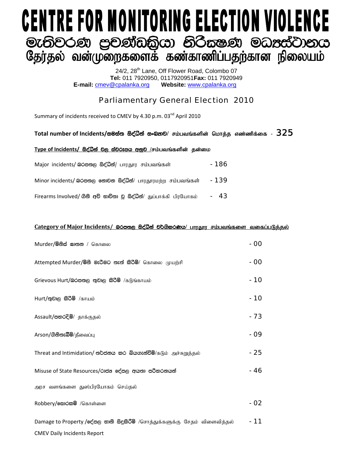# **CENTRE FOR MONITORING ELECTION VIOLENCE** මැතිවරණ පුවණ්ඩකියා නිරිසෂණ මධාස්වානය<br>ශූලා්ෂා බණ්ගු කොරිසි කොරිසා කෝර්ය ලැබී ගොට ස

24/2, 28<sup>th</sup> Lane, Off Flower Road, Colombo 07 **Tel:** 011 7920950, 0117920951**Fax:** 011 7920949 **E-mail:** cmev@cpalanka.org **Website:** www.cpalanka.org

## Parliamentary General Election 2010

Summary of incidents received to CMEV by 4.30 p.m. 03<sup>nd</sup> April 2010

#### $\Gamma$ Otal number of Incidents/සමස්ත සිද්ධින් සංඛතාව/ சம்பவங்களின் மொத்த எண்ணிக்கை -  $\bf{325}$

#### $Type of Incidents/$  සිද්ධින් වල ස්වරූපය අනුව /சம்பவங்களின் தன்மை

| Major incidents/ லெக்ஸ்ரு க்ஜீலீதி/ பாரதூர சம்பவங்கள்               | - 186 |
|---------------------------------------------------------------------|-------|
| Minor incidents/ இරපතල නොවන සිද්ධීන්/ பாரதூரமற்ற சம்பவங்கள்         | - 139 |
| Firearms Involved/ ගිනි අවි භාවිතා වූ සිද්ධීන්/ துப்பாக்கி பிரயோகம் | - 43  |

#### **Category** of Major Incidents/ இ<del>රපතල සිද්ධින් වර්ගීකරණය/ பாரதார சம்பவங்களை வகைப்படுத்தல்</del>

| Murder/මිනිස් සාතන / கொலை                                                   | - 00 |
|-----------------------------------------------------------------------------|------|
| Attempted Murder/මිනී මැරීමට තැත් කිරිමි/ கொலை முயற்சி                      | - 00 |
| Grievous Hurt/බරපතල තුවාල කිරීම් /கடுங்காயம்                                | - 10 |
| Hurt/තුවාල කිරිම් /காயம்                                                    | - 10 |
| Assault/පහරදීම්/ தாக்குதல்                                                  | - 73 |
| Arson/ගිනිතැබීම්/தீவைப்பு                                                   | - 09 |
| Threat and Intimidation/ තර්ජනය කර බියගැන්වීම්/ $\delta$ டும் அச்சுறுத்தல்  | - 25 |
| Misuse of State Resources/රාජන දේපල අයතා පරිහරනයන්                          | - 46 |
| அரச வளங்களை துஸ்பிரயோகம் செய்தல்                                            |      |
| Robbery/கூற்கை /கொள்ளை                                                      | - 02 |
| Damage to Property /දේපල හානි සිදුකිරීම් /சொத்துக்களுக்கு சேதம் விளைவித்தல் | - 11 |
| <b>CMEV Daily Incidents Report</b>                                          |      |